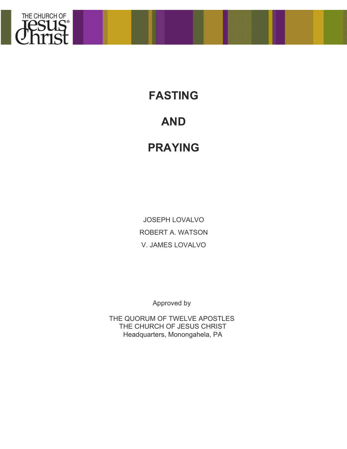

**FASTING**

# **AND**

# **PRAYING**

JOSEPH LOVALVO ROBERT A. WATSON V. JAMES LOVALVO

Approved by

THE QUORUM OF TWELVE APOSTLES THE CHURCH OF JESUS CHRIST Headquarters, Monongahela, PA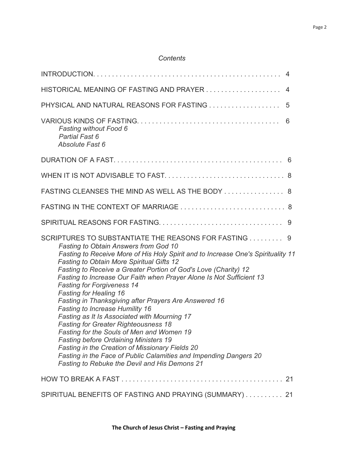| HISTORICAL MEANING OF FASTING AND PRAYER 4                                                                                                                                                                                                                                                                                                                                                                                                                                                                                                                                                                                                                                                                                                                                                                                                                                                                                     |
|--------------------------------------------------------------------------------------------------------------------------------------------------------------------------------------------------------------------------------------------------------------------------------------------------------------------------------------------------------------------------------------------------------------------------------------------------------------------------------------------------------------------------------------------------------------------------------------------------------------------------------------------------------------------------------------------------------------------------------------------------------------------------------------------------------------------------------------------------------------------------------------------------------------------------------|
| PHYSICAL AND NATURAL REASONS FOR FASTING<br>5                                                                                                                                                                                                                                                                                                                                                                                                                                                                                                                                                                                                                                                                                                                                                                                                                                                                                  |
| 6<br><b>Fasting without Food 6</b><br><b>Partial Fast 6</b><br>Absolute Fast 6                                                                                                                                                                                                                                                                                                                                                                                                                                                                                                                                                                                                                                                                                                                                                                                                                                                 |
|                                                                                                                                                                                                                                                                                                                                                                                                                                                                                                                                                                                                                                                                                                                                                                                                                                                                                                                                |
|                                                                                                                                                                                                                                                                                                                                                                                                                                                                                                                                                                                                                                                                                                                                                                                                                                                                                                                                |
| FASTING CLEANSES THE MIND AS WELL AS THE BODY  8                                                                                                                                                                                                                                                                                                                                                                                                                                                                                                                                                                                                                                                                                                                                                                                                                                                                               |
|                                                                                                                                                                                                                                                                                                                                                                                                                                                                                                                                                                                                                                                                                                                                                                                                                                                                                                                                |
|                                                                                                                                                                                                                                                                                                                                                                                                                                                                                                                                                                                                                                                                                                                                                                                                                                                                                                                                |
| SCRIPTURES TO SUBSTANTIATE THE REASONS FOR FASTING 9<br>Fasting to Obtain Answers from God 10<br>Fasting to Receive More of His Holy Spirit and to Increase One's Spirituality 11<br><b>Fasting to Obtain More Spiritual Gifts 12</b><br>Fasting to Receive a Greater Portion of God's Love (Charity) 12<br>Fasting to Increase Our Faith when Prayer Alone Is Not Sufficient 13<br><b>Fasting for Forgiveness 14</b><br><b>Fasting for Healing 16</b><br>Fasting in Thanksgiving after Prayers Are Answered 16<br><b>Fasting to Increase Humility 16</b><br>Fasting as It Is Associated with Mourning 17<br><b>Fasting for Greater Righteousness 18</b><br>Fasting for the Souls of Men and Women 19<br><b>Fasting before Ordaining Ministers 19</b><br>Fasting in the Creation of Missionary Fields 20<br>Fasting in the Face of Public Calamities and Impending Dangers 20<br>Fasting to Rebuke the Devil and His Demons 21 |
|                                                                                                                                                                                                                                                                                                                                                                                                                                                                                                                                                                                                                                                                                                                                                                                                                                                                                                                                |
| SPIRITUAL BENEFITS OF FASTING AND PRAYING (SUMMARY)  21                                                                                                                                                                                                                                                                                                                                                                                                                                                                                                                                                                                                                                                                                                                                                                                                                                                                        |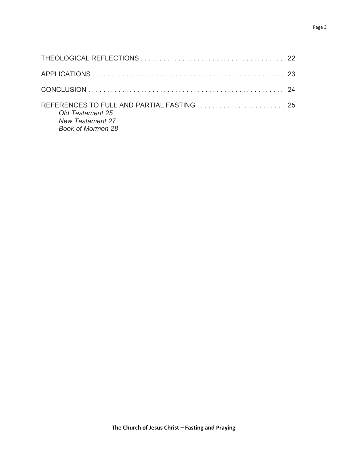| REFERENCES TO FULL AND PARTIAL FASTING  25<br>Old Testament 25<br><b>New Testament 27</b><br><b>Book of Mormon 28</b> |  |
|-----------------------------------------------------------------------------------------------------------------------|--|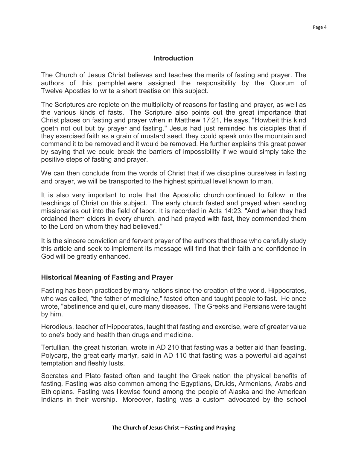#### **Introduction**

The Church of Jesus Christ believes and teaches the merits of fasting and prayer. The authors of this pamphlet were assigned the responsibility by the Quorum of Twelve Apostles to write a short treatise on this subject.

The Scriptures are replete on the multiplicity of reasons for fasting and prayer, as well as the various kinds of fasts. The Scripture also points out the great importance that Christ places on fasting and prayer when in Matthew 17:21, He says, "Howbeit this kind goeth not out but by prayer and fasting." Jesus had just reminded his disciples that if they exercised faith as a grain of mustard seed, they could speak unto the mountain and command it to be removed and it would be removed. He further explains this great power by saying that we could break the barriers of impossibility if we would simply take the positive steps of fasting and prayer.

We can then conclude from the words of Christ that if we discipline ourselves in fasting and prayer, we will be transported to the highest spiritual level known to man.

It is also very important to note that the Apostolic church continued to follow in the teachings of Christ on this subject. The early church fasted and prayed when sending missionaries out into the field of labor. It is recorded in Acts 14:23, "And when they had ordained them elders in every church, and had prayed with fast, they commended them to the Lord on whom they had believed."

It is the sincere conviction and fervent prayer of the authors that those who carefully study this article and seek to implement its message will find that their faith and confidence in God will be greatly enhanced.

#### **Historical Meaning of Fasting and Prayer**

Fasting has been practiced by many nations since the creation of the world. Hippocrates, who was called, "the father of medicine," fasted often and taught people to fast. He once wrote, "abstinence and quiet, cure many diseases. The Greeks and Persians were taught by him.

Herodieus, teacher of Hippocrates, taught that fasting and exercise, were of greater value to one's body and health than drugs and medicine.

Tertullian, the great historian, wrote in AD 210 that fasting was a better aid than feasting. Polycarp, the great early martyr, said in AD 110 that fasting was a powerful aid against temptation and fleshly lusts.

Socrates and Plato fasted often and taught the Greek nation the physical benefits of fasting. Fasting was also common among the Egyptians, Druids, Armenians, Arabs and Ethiopians. Fasting was likewise found among the people of Alaska and the American Indians in their worship. Moreover, fasting was a custom advocated by the school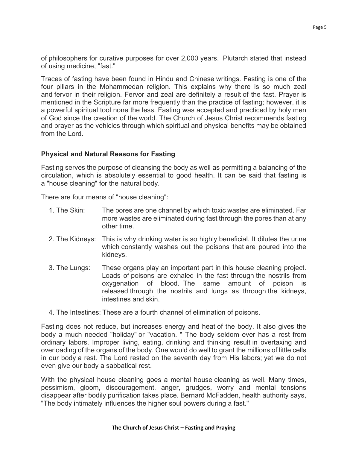of philosophers for curative purposes for over 2,000 years. Plutarch stated that instead of using medicine, "fast."

Traces of fasting have been found in Hindu and Chinese writings. Fasting is one of the four pillars in the Mohammedan religion. This explains why there is so much zeal and fervor in their religion. Fervor and zeal are definitely a result of the fast. Prayer is mentioned in the Scripture far more frequently than the practice of fasting; however, it is a powerful spiritual tool none the less. Fasting was accepted and practiced by holy men of God since the creation of the world. The Church of Jesus Christ recommends fasting and prayer as the vehicles through which spiritual and physical benefits may be obtained from the Lord.

## **Physical and Natural Reasons for Fasting**

Fasting serves the purpose of cleansing the body as well as permitting a balancing of the circulation, which is absolutely essential to good health. It can be said that fasting is a "house cleaning" for the natural body.

There are four means of "house cleaning":

- 1. The Skin: The pores are one channel by which toxic wastes are eliminated. Far more wastes are eliminated during fast through the pores than at any other time.
- 2. The Kidneys: This is why drinking water is so highly beneficial. It dilutes the urine which constantly washes out the poisons that are poured into the kidneys.
- 3. The Lungs: These organs play an important part in this house cleaning project. Loads of poisons are exhaled in the fast through the nostrils from oxygenation of blood. The same amount of poison is released through the nostrils and lungs as through the kidneys, intestines and skin.
- 4. The Intestines: These are a fourth channel of elimination of poisons.

Fasting does not reduce, but increases energy and heat of the body. It also gives the body a much needed "holiday" or "vacation. " The body seldom ever has a rest from ordinary labors. Improper living, eating, drinking and thinking result in overtaxing and overloading of the organs of the body. One would do well to grant the millions of little cells in our body a rest. The Lord rested on the seventh day from His labors; yet we do not even give our body a sabbatical rest.

With the physical house cleaning goes a mental house cleaning as well. Many times, pessimism, gloom, discouragement, anger, grudges, worry and mental tensions disappear after bodily purification takes place. Bernard McFadden, health authority says, "The body intimately influences the higher soul powers during a fast."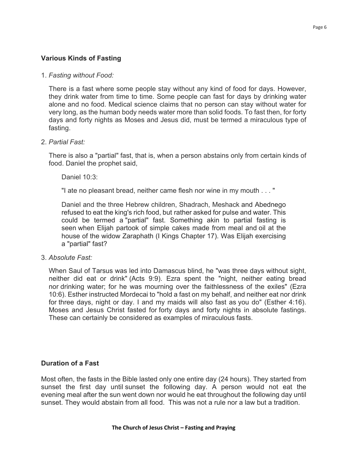## **Various Kinds of Fasting**

#### 1. *Fasting without Food:*

There is a fast where some people stay without any kind of food for days. However, they drink water from time to time. Some people can fast for days by drinking water alone and no food. Medical science claims that no person can stay without water for very long, as the human body needs water more than solid foods. To fast then, for forty days and forty nights as Moses and Jesus did, must be termed a miraculous type of fasting.

#### 2. *Partial Fast:*

There is also a "partial" fast, that is, when a person abstains only from certain kinds of food. Daniel the prophet said,

Daniel 10:3:

"I ate no pleasant bread, neither came flesh nor wine in my mouth . . . "

Daniel and the three Hebrew children, Shadrach, Meshack and Abednego refused to eat the king's rich food, but rather asked for pulse and water. This could be termed a "partial" fast. Something akin to partial fasting is seen when Elijah partook of simple cakes made from meal and oil at the house of the widow Zaraphath (I Kings Chapter 17). Was Elijah exercising a "partial" fast?

3. *Absolute Fast:*

When Saul of Tarsus was led into Damascus blind, he "was three days without sight, neither did eat or drink" (Acts 9:9). Ezra spent the "night, neither eating bread nor drinking water; for he was mourning over the faithlessness of the exiles" (Ezra 10:6). Esther instructed Mordecai to "hold a fast on my behalf, and neither eat nor drink for three days, night or day. I and my maids will also fast as you do" (Esther 4:16). Moses and Jesus Christ fasted for forty days and forty nights in absolute fastings. These can certainly be considered as examples of miraculous fasts.

#### **Duration of a Fast**

Most often, the fasts in the Bible lasted only one entire day (24 hours). They started from sunset the first day until sunset the following day. A person would not eat the evening meal after the sun went down nor would he eat throughout the following day until sunset. They would abstain from all food. This was not a rule nor a law but a tradition.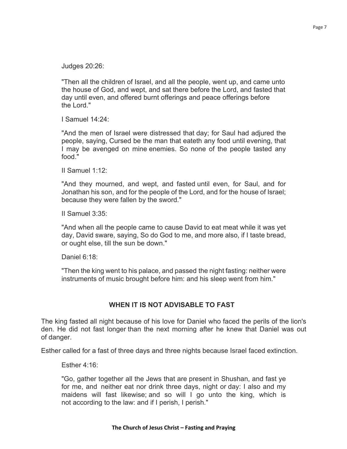Page 7

Judges 20:26:

"Then all the children of Israel, and all the people, went up, and came unto the house of God, and wept, and sat there before the Lord, and fasted that day until even, and offered burnt offerings and peace offerings before the Lord."

I Samuel 14:24:

"And the men of Israel were distressed that day; for Saul had adjured the people, saying, Cursed be the man that eateth any food until evening, that I may be avenged on mine enemies. So none of the people tasted any food."

II Samuel 1:12:

"And they mourned, and wept, and fasted until even, for Saul, and for Jonathan his son, and for the people of the Lord, and for the house of Israel; because they were fallen by the sword."

II Samuel 3:35:

"And when all the people came to cause David to eat meat while it was yet day, David sware, saying, So do God to me, and more also, if I taste bread, or ought else, till the sun be down."

Daniel 6:18:

"Then the king went to his palace, and passed the night fasting: neither were instruments of music brought before him: and his sleep went from him."

# **WHEN IT IS NOT ADVISABLE TO FAST**

The king fasted all night because of his love for Daniel who faced the perils of the lion's den. He did not fast longer than the next morning after he knew that Daniel was out of danger.

Esther called for a fast of three days and three nights because Israel faced extinction.

Esther 4:16:

"Go, gather together all the Jews that are present in Shushan, and fast ye for me, and neither eat nor drink three days, night or day: I also and my maidens will fast likewise; and so will I go unto the king, which is not according to the law: and if I perish, I perish."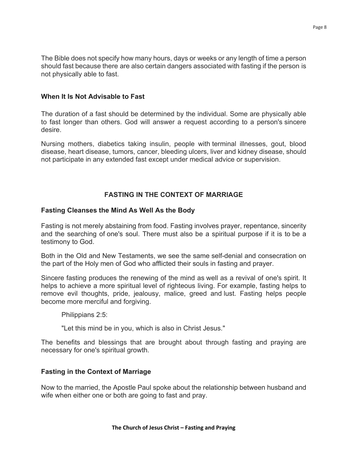The Bible does not specify how many hours, days or weeks or any length of time a person should fast because there are also certain dangers associated with fasting if the person is not physically able to fast.

## **When It Is Not Advisable to Fast**

The duration of a fast should be determined by the individual. Some are physically able to fast longer than others. God will answer a request according to a person's sincere desire.

Nursing mothers, diabetics taking insulin, people with terminal illnesses, gout, blood disease, heart disease, tumors, cancer, bleeding ulcers, liver and kidney disease, should not participate in any extended fast except under medical advice or supervision.

# **FASTING IN THE CONTEXT OF MARRIAGE**

## **Fasting Cleanses the Mind As Well As the Body**

Fasting is not merely abstaining from food. Fasting involves prayer, repentance, sincerity and the searching of one's soul. There must also be a spiritual purpose if it is to be a testimony to God.

Both in the Old and New Testaments, we see the same self-denial and consecration on the part of the Holy men of God who afflicted their souls in fasting and prayer.

Sincere fasting produces the renewing of the mind as well as a revival of one's spirit. It helps to achieve a more spiritual level of righteous living. For example, fasting helps to remove evil thoughts, pride, jealousy, malice, greed and lust. Fasting helps people become more merciful and forgiving.

Philippians 2:5:

"Let this mind be in you, which is also in Christ Jesus."

The benefits and blessings that are brought about through fasting and praying are necessary for one's spiritual growth.

# **Fasting in the Context of Marriage**

Now to the married, the Apostle Paul spoke about the relationship between husband and wife when either one or both are going to fast and pray.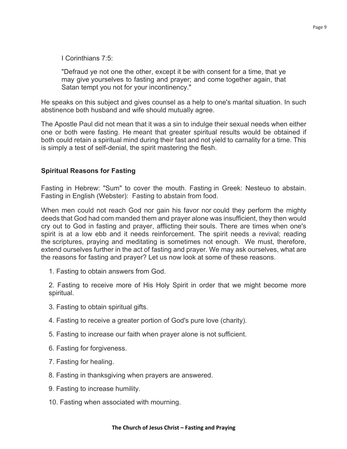I Corinthians 7:5:

"Defraud ye not one the other, except it be with consent for a time, that ye may give yourselves to fasting and prayer; and come together again, that Satan tempt you not for your incontinency."

He speaks on this subject and gives counsel as a help to one's marital situation. In such abstinence both husband and wife should mutually agree.

The Apostle Paul did not mean that it was a sin to indulge their sexual needs when either one or both were fasting. He meant that greater spiritual results would be obtained if both could retain a spiritual mind during their fast and not yield to carnality for a time. This is simply a test of self-denial, the spirit mastering the flesh.

## **Spiritual Reasons for Fasting**

Fasting in Hebrew: "Sum" to cover the mouth. Fasting in Greek: Nesteuo to abstain. Fasting in English (Webster): Fasting to abstain from food.

When men could not reach God nor gain his favor nor could they perform the mighty deeds that God had com manded them and prayer alone was insufficient, they then would cry out to God in fasting and prayer, afflicting their souls. There are times when one's spirit is at a low ebb and it needs reinforcement. The spirit needs a revival; reading the scriptures, praying and meditating is sometimes not enough. We must, therefore, extend ourselves further in the act of fasting and prayer. We may ask ourselves, what are the reasons for fasting and prayer? Let us now look at some of these reasons.

1. Fasting to obtain answers from God.

2. Fasting to receive more of His Holy Spirit in order that we might become more spiritual.

- 3. Fasting to obtain spiritual gifts.
- 4. Fasting to receive a greater portion of God's pure love (charity).
- 5. Fasting to increase our faith when prayer alone is not sufficient.
- 6. Fasting for forgiveness.
- 7. Fasting for healing.
- 8. Fasting in thanksgiving when prayers are answered.
- 9. Fasting to increase humility.
- 10. Fasting when associated with mourning.

#### **The Church of Jesus Christ – Fasting and Praying**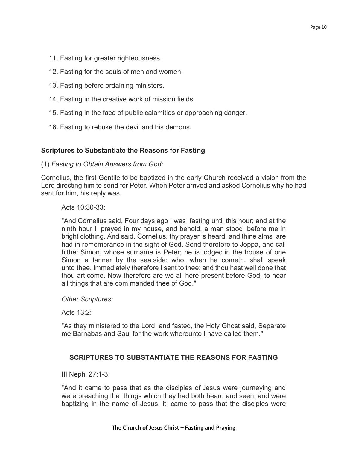- 11. Fasting for greater righteousness.
- 12. Fasting for the souls of men and women.
- 13. Fasting before ordaining ministers.
- 14. Fasting in the creative work of mission fields.
- 15. Fasting in the face of public calamities or approaching danger.
- 16. Fasting to rebuke the devil and his demons.

### **Scriptures to Substantiate the Reasons for Fasting**

#### (1) *Fasting to Obtain Answers from God:*

Cornelius, the first Gentile to be baptized in the early Church received a vision from the Lord directing him to send for Peter. When Peter arrived and asked Cornelius why he had sent for him, his reply was,

Acts 10:30-33:

"And Cornelius said, Four days ago I was fasting until this hour; and at the ninth hour I prayed in my house, and behold, a man stood before me in bright clothing, And said, Cornelius, thy prayer is heard, and thine alms are had in remembrance in the sight of God. Send therefore to Joppa, and call hither Simon, whose surname is Peter; he is lodged in the house of one Simon a tanner by the sea side: who, when he cometh, shall speak unto thee. Immediately therefore I sent to thee; and thou hast well done that thou art come. Now therefore are we all here present before God, to hear all things that are com manded thee of God."

*Other Scriptures:*

Acts 13:2:

"As they ministered to the Lord, and fasted, the Holy Ghost said, Separate me Barnabas and Saul for the work whereunto I have called them."

#### **SCRIPTURES TO SUBSTANTIATE THE REASONS FOR FASTING**

III Nephi 27:1-3:

"And it came to pass that as the disciples of Jesus were journeying and were preaching the things which they had both heard and seen, and were baptizing in the name of Jesus, it came to pass that the disciples were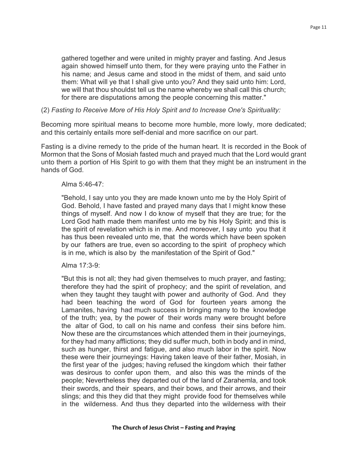gathered together and were united in mighty prayer and fasting. And Jesus again showed himself unto them, for they were praying unto the Father in his name; and Jesus came and stood in the midst of them, and said unto them: What will ye that I shall give unto you? And they said unto him: Lord, we will that thou shouldst tell us the name whereby we shall call this church; for there are disputations among the people concerning this matter."

## (2) *Fasting to Receive More of His Holy Spirit and to Increase One's Spirituality:*

Becoming more spiritual means to become more humble, more lowly, more dedicated; and this certainly entails more self-denial and more sacrifice on our part.

Fasting is a divine remedy to the pride of the human heart. It is recorded in the Book of Mormon that the Sons of Mosiah fasted much and prayed much that the Lord would grant unto them a portion of His Spirit to go with them that they might be an instrument in the hands of God.

#### Alma 5:46-47:

"Behold, I say unto you they are made known unto me by the Holy Spirit of God. Behold, I have fasted and prayed many days that I might know these things of myself. And now I do know of myself that they are true; for the Lord God hath made them manifest unto me by his Holy Spirit; and this is the spirit of revelation which is in me. And moreover, I say unto you that it has thus been revealed unto me, that the words which have been spoken by our fathers are true, even so according to the spirit of prophecy which is in me, which is also by the manifestation of the Spirit of God."

## Alma 17:3-9:

"But this is not all; they had given themselves to much prayer, and fasting; therefore they had the spirit of prophecy; and the spirit of revelation, and when they taught they taught with power and authority of God. And they had been teaching the word of God for fourteen years among the Lamanites, having had much success in bringing many to the knowledge of the truth; yea, by the power of their words many were brought before the altar of God, to call on his name and confess their sins before him. Now these are the circumstances which attended them in their journeyings, for they had many afflictions; they did suffer much, both in body and in mind, such as hunger, thirst and fatigue, and also much labor in the spirit. Now these were their journeyings: Having taken leave of their father, Mosiah, in the first year of the judges; having refused the kingdom which their father was desirous to confer upon them, and also this was the minds of the people; Nevertheless they departed out of the land of Zarahemla, and took their swords, and their spears, and their bows, and their arrows, and their slings; and this they did that they might provide food for themselves while in the wilderness. And thus they departed into the wilderness with their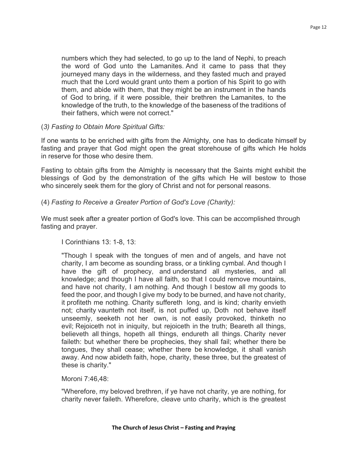numbers which they had selected, to go up to the land of Nephi, to preach the word of God unto the Lamanites. And it came to pass that they journeyed many days in the wilderness, and they fasted much and prayed much that the Lord would grant unto them a portion of his Spirit to go with them, and abide with them, that they might be an instrument in the hands of God to bring, if it were possible, their brethren the Lamanites, to the knowledge of the truth, to the knowledge of the baseness of the traditions of their fathers, which were not correct."

## (*3) Fasting to Obtain More Spiritual Gifts:*

If one wants to be enriched with gifts from the Almighty, one has to dedicate himself by fasting and prayer that God might open the great storehouse of gifts which He holds in reserve for those who desire them.

Fasting to obtain gifts from the Almighty is necessary that the Saints might exhibit the blessings of God by the demonstration of the gifts which He will bestow to those who sincerely seek them for the glory of Christ and not for personal reasons.

## (4) *Fasting to Receive a Greater Portion of God's Love (Charity):*

We must seek after a greater portion of God's love. This can be accomplished through fasting and prayer.

## I Corinthians 13: 1-8, 13:

"Though I speak with the tongues of men and of angels, and have not charity, I am become as sounding brass, or a tinkling cymbal. And though I have the gift of prophecy, and understand all mysteries, and all knowledge; and though I have all faith, so that I could remove mountains, and have not charity, I am nothing. And though I bestow all my goods to feed the poor, and though I give my body to be burned, and have not charity, it profiteth me nothing. Charity suffereth long, and is kind; charity envieth not; charity vaunteth not itself, is not puffed up, Doth not behave itself unseemly, seeketh not her own, is not easily provoked, thinketh no evil; Rejoiceth not in iniquity, but rejoiceth in the truth; Beareth all things, believeth all things, hopeth all things, endureth all things. Charity never faileth: but whether there be prophecies, they shall fail; whether there be tongues, they shall cease; whether there be knowledge, it shall vanish away. And now abideth faith, hope, charity, these three, but the greatest of these is charity."

Moroni 7:46,48:

"Wherefore, my beloved brethren, if ye have not charity, ye are nothing, for charity never faileth. Wherefore, cleave unto charity, which is the greatest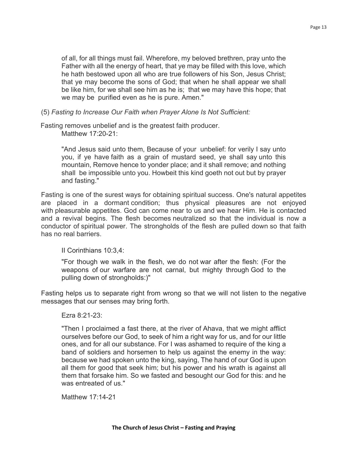of all, for all things must fail. Wherefore, my beloved brethren, pray unto the Father with all the energy of heart, that ye may be filled with this love, which he hath bestowed upon all who are true followers of his Son, Jesus Christ; that ye may become the sons of God; that when he shall appear we shall be like him, for we shall see him as he is; that we may have this hope; that we may be purified even as he is pure. Amen."

(5) *Fasting to Increase Our Faith when Prayer Alone Is Not Sufficient:*

Fasting removes unbelief and is the greatest faith producer. Matthew 17:20-21:

> "And Jesus said unto them, Because of your unbelief: for verily I say unto you, if ye have faith as a grain of mustard seed, ye shall say unto this mountain, Remove hence to yonder place; and it shall remove; and nothing shall be impossible unto you. Howbeit this kind goeth not out but by prayer and fasting."

Fasting is one of the surest ways for obtaining spiritual success. One's natural appetites are placed in a dormant condition; thus physical pleasures are not enjoyed with pleasurable appetites. God can come near to us and we hear Him. He is contacted and a revival begins. The flesh becomes neutralized so that the individual is now a conductor of spiritual power. The strongholds of the flesh are pulled down so that faith has no real barriers.

II Corinthians 10:3,4:

"For though we walk in the flesh, we do not war after the flesh: (For the weapons of our warfare are not carnal, but mighty through God to the pulling down of strongholds:)"

Fasting helps us to separate right from wrong so that we will not listen to the negative messages that our senses may bring forth.

#### Ezra 8:21-23:

"Then I proclaimed a fast there, at the river of Ahava, that we might afflict ourselves before our God, to seek of him a right way for us, and for our little ones, and for all our substance. For I was ashamed to require of the king a band of soldiers and horsemen to help us against the enemy in the way: because we had spoken unto the king, saying, The hand of our God is upon all them for good that seek him; but his power and his wrath is against all them that forsake him. So we fasted and besought our God for this: and he was entreated of us."

Matthew 17:14-21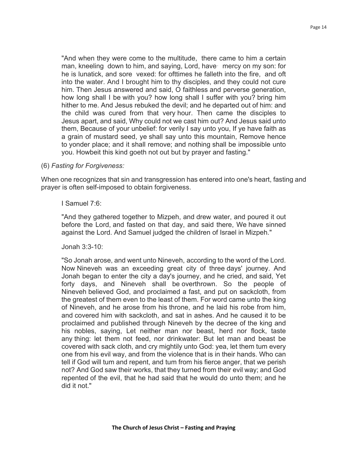"And when they were come to the multitude, there came to him a certain man, kneeling down to him, and saying, Lord, have· mercy on my son: for he is lunatick, and sore vexed: for ofttimes he falleth into the fire, and oft into the water. And I brought him to thy disciples, and they could not cure him. Then Jesus answered and said, O faithless and perverse generation, how long shall I be with you? how long shall I suffer with you? bring him hither to me. And Jesus rebuked the devil; and he departed out of him: and the child was cured from that very hour. Then came the disciples to Jesus apart, and said, Why could not we cast him out? And Jesus said unto them, Because of your unbelief: for verily I say unto you, If ye have faith as a grain of mustard seed, ye shall say unto this mountain, Remove hence to yonder place; and it shall remove; and nothing shall be impossible unto you. Howbeit this kind goeth not out but by prayer and fasting."

#### (6) *Fasting for Forgiveness:*

When one recognizes that sin and transgression has entered into one's heart, fasting and prayer is often self-imposed to obtain forgiveness.

#### I Samuel 7:6:

"And they gathered together to Mizpeh, and drew water, and poured it out before the Lord, and fasted on that day, and said there, We have sinned against the Lord. And Samuel judged the children of Israel in Mizpeh."

#### Jonah 3:3-10:

"So Jonah arose, and went unto Nineveh, according to the word of the Lord. Now Nineveh was an exceeding great city of three days' journey. And Jonah began to enter the city a day's journey, and he cried, and said, Yet forty days, and Nineveh shall be overthrown. So the people of Nineveh believed God, and proclaimed a fast, and put on sackcloth, from the greatest of them even to the least of them. For word came unto the king of Nineveh, and he arose from his throne, and he laid his robe from him, and covered him with sackcloth, and sat in ashes. And he caused it to be proclaimed and published through Nineveh by the decree of the king and his nobles, saying, Let neither man nor beast, herd nor flock, taste any thing: let them not feed, nor drinkwater: But let man and beast be covered with sack cloth, and cry mightily unto God: yea, let them tum every one from his evil way, and from the violence that is in their hands. Who can tell if God will tum and repent, and tum from his fierce anger, that we perish not? And God saw their works, that they turned from their evil way; and God repented of the evil, that he had said that he would do unto them; and he did it not."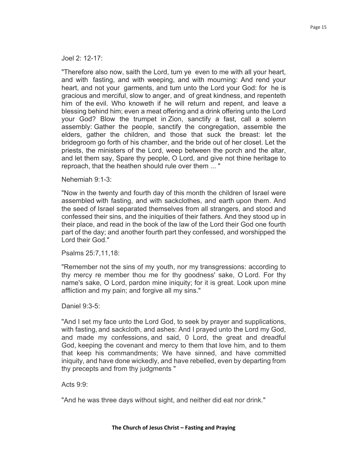Joel 2: 12-17:

"Therefore also now, saith the Lord, tum ye even to me with all your heart, and with fasting, and with weeping, and with mourning: And rend your heart, and not your garments, and tum unto the Lord your God: for he is gracious and merciful, slow to anger, and of great kindness, and repenteth him of the evil. Who knoweth if he will return and repent, and leave a blessing behind him; even a meat offering and a drink offering unto the Lord your God? Blow the trumpet in Zion, sanctify a fast, call a solemn assembly: Gather the people, sanctify the congregation, assemble the elders, gather the children, and those that suck the breast: let the bridegroom go forth of his chamber, and the bride out of her closet. Let the priests, the ministers of the Lord, weep between the porch and the altar, and let them say, Spare thy people, O Lord, and give not thine heritage to reproach, that the heathen should rule over them ... "

Nehemiah 9:1-3:

"Now in the twenty and fourth day of this month the children of Israel were assembled with fasting, and with sackclothes, and earth upon them. And the seed of Israel separated themselves from all strangers, and stood and confessed their sins, and the iniquities of their fathers. And they stood up in their place, and read in the book of the law of the Lord their God one fourth part of the day; and another fourth part they confessed, and worshipped the Lord their God."

Psalms 25:7,11,18:

"Remember not the sins of my youth, nor my transgressions: according to thy mercy re member thou me for thy goodness' sake, O Lord. For thy name's sake, O Lord, pardon mine iniquity; for it is great. Look upon mine affliction and my pain; and forgive all my sins."

Daniel 9:3-5:

"And I set my face unto the Lord God, to seek by prayer and supplications, with fasting, and sackcloth, and ashes: And I prayed unto the Lord my God, and made my confessions, and said, 0 Lord, the great and dreadful God, keeping the covenant and mercy to them that love him, and to them that keep his commandments; We have sinned, and have committed iniquity, and have done wickedly, and have rebelled, even by departing from thy precepts and from thy judgments "

Acts 9:9:

"And he was three days without sight, and neither did eat nor drink."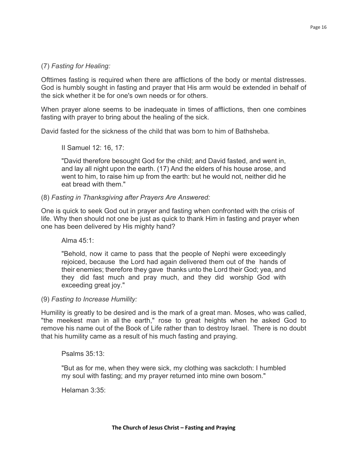## (7) *Fasting for Healing:*

Ofttimes fasting is required when there are afflictions of the body or mental distresses. God is humbly sought in fasting and prayer that His arm would be extended in behalf of the sick whether it be for one's own needs or for others.

When prayer alone seems to be inadequate in times of afflictions, then one combines fasting with prayer to bring about the healing of the sick.

David fasted for the sickness of the child that was born to him of Bathsheba.

II Samuel 12: 16, 17:

"David therefore besought God for the child; and David fasted, and went in, and lay all night upon the earth. (17) And the elders of his house arose, and went to him, to raise him up from the earth: but he would not, neither did he eat bread with them."

### (8) *Fasting in Thanksgiving after Prayers Are Answered:*

One is quick to seek God out in prayer and fasting when confronted with the crisis of life. Why then should not one be just as quick to thank Him in fasting and prayer when one has been delivered by His mighty hand?

Alma 45:1:

"Behold, now it came to pass that the people of Nephi were exceedingly rejoiced, because the Lord had again delivered them out of the hands of their enemies; therefore they gave thanks unto the Lord their God; yea, and they did fast much and pray much, and they did worship God with exceeding great joy."

#### (9) *Fasting to Increase Humility:*

Humility is greatly to be desired and is the mark of a great man. Moses, who was called, "the meekest man in all the earth," rose to great heights when he asked God to remove his name out of the Book of Life rather than to destroy Israel. There is no doubt that his humility came as a result of his much fasting and praying.

Psalms 35:13:

"But as for me, when they were sick, my clothing was sackcloth: I humbled my soul with fasting; and my prayer returned into mine own bosom."

Helaman 3:35: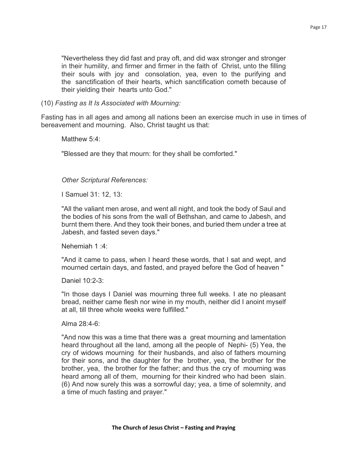"Nevertheless they did fast and pray oft, and did wax stronger and stronger in their humility, and firmer and firmer in the faith of Christ, unto the filling their souls with joy and consolation, yea, even to the purifying and the sanctification of their hearts, which sanctification cometh because of their yielding their hearts unto God."

(10) *Fasting as It Is Associated with Mourning:*

Fasting has in all ages and among all nations been an exercise much in use in times of bereavement and mourning. Also, Christ taught us that:

Matthew 5:4:

"Blessed are they that mourn: for they shall be comforted."

*Other Scriptural References:*

I Samuel 31: 12, 13:

"All the valiant men arose, and went all night, and took the body of Saul and the bodies of his sons from the wall of Bethshan, and came to Jabesh, and burnt them there. And they took their bones, and buried them under a tree at Jabesh, and fasted seven days."

Nehemiah 1 :4:

"And it came to pass, when I heard these words, that I sat and wept, and mourned certain days, and fasted, and prayed before the God of heaven "

Daniel 10:2-3:

"In those days I Daniel was mourning three full weeks. I ate no pleasant bread, neither came flesh nor wine in my mouth, neither did I anoint myself at all, till three whole weeks were fulfilled."

Alma 28:4-6:

"And now this was a time that there was a great mourning and lamentation heard throughout all the land, among all the people of Nephi- (5) Yea, the cry of widows mourning for their husbands, and also of fathers mourning for their sons, and the daughter for the brother, yea, the brother for the brother, yea, the brother for the father; and thus the cry of mourning was heard among all of them, mourning for their kindred who had been slain. (6) And now surely this was a sorrowful day; yea, a time of solemnity, and a time of much fasting and prayer."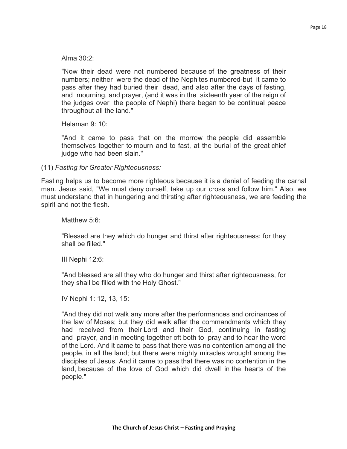Alma 30:2:

"Now their dead were not numbered because of the greatness of their numbers; neither were the dead of the Nephites numbered-but it came to pass after they had buried their dead, and also after the days of fasting, and mourning, and prayer, (and it was in the sixteenth year of the reign of the judges over the people of Nephi) there began to be continual peace throughout all the land."

Helaman 9: 10:

"And it came to pass that on the morrow the people did assemble themselves together to mourn and to fast, at the burial of the great chief judge who had been slain."

(11) *Fasting for Greater Righteousness:*

Fasting helps us to become more righteous because it is a denial of feeding the carnal man. Jesus said, "We must deny ourself, take up our cross and follow him." Also, we must understand that in hungering and thirsting after righteousness, we are feeding the spirit and not the flesh.

Matthew 5:6:

"Blessed are they which do hunger and thirst after righteousness: for they shall be filled."

III Nephi 12:6:

"And blessed are all they who do hunger and thirst after righteousness, for they shall be filled with the Holy Ghost."

IV Nephi 1: 12, 13, 15:

"And they did not walk any more after the performances and ordinances of the law of Moses; but they did walk after the commandments which they had received from their Lord and their God, continuing in fasting and prayer, and in meeting together oft both to pray and to hear the word of the Lord. And it came to pass that there was no contention among all the people, in all the land; but there were mighty miracles wrought among the disciples of Jesus. And it came to pass that there was no contention in the land, because of the love of God which did dwell in the hearts of the people."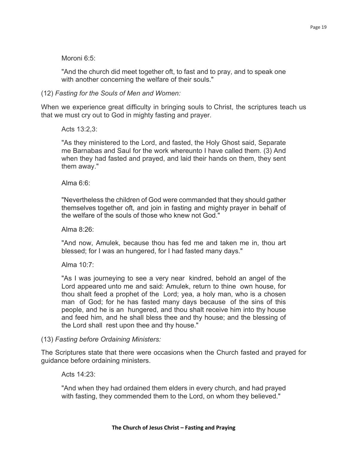#### Moroni 6:5:

"And the church did meet together oft, to fast and to pray, and to speak one with another concerning the welfare of their souls."

(12) *Fasting for the Souls of Men and Women:*

When we experience great difficulty in bringing souls to Christ, the scriptures teach us that we must cry out to God in mighty fasting and prayer.

Acts 13:2,3:

"As they ministered to the Lord, and fasted, the Holy Ghost said, Separate me Barnabas and Saul for the work whereunto I have called them. (3) And when they had fasted and prayed, and laid their hands on them, they sent them away."

Alma 6:6:

"Nevertheless the children of God were commanded that they should gather themselves together oft, and join in fasting and mighty prayer in behalf of the welfare of the souls of those who knew not God."

Alma  $8.26$ 

"And now, Amulek, because thou has fed me and taken me in, thou art blessed; for I was an hungered, for I had fasted many days."

Alma 10:7:

"As I was journeying to see a very near kindred, behold an angel of the Lord appeared unto me and said: Amulek, return to thine own house, for thou shalt feed a prophet of the Lord; yea, a holy man, who is a chosen man of God; for he has fasted many days because of the sins of this people, and he is an hungered, and thou shalt receive him into thy house and feed him, and he shall bless thee and thy house; and the blessing of the Lord shall rest upon thee and thy house."

#### (13) *Fasting before Ordaining Ministers:*

The Scriptures state that there were occasions when the Church fasted and prayed for guidance before ordaining ministers.

#### Acts 14:23:

"And when they had ordained them elders in every church, and had prayed with fasting, they commended them to the Lord, on whom they believed."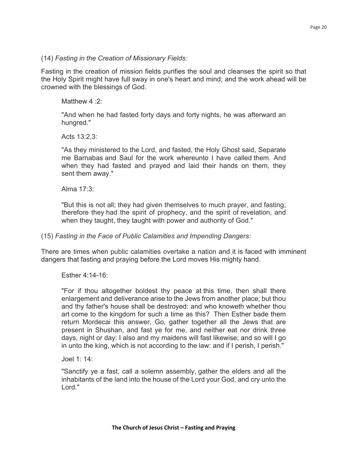#### (14) *Fasting in the Creation of Missionary Fields:*

Fasting in the creation of mission fields purifies the soul and cleanses the spirit so that the Holy Spirit might have full sway in one's heart and mind; and the work ahead will be crowned with the blessings of God.

Matthew 4:2:

"And when he had fasted forty days and forty nights, he was afterward an hungred."

Acts 13:2,3:

"As they ministered to the Lord, and fasted, the Holy Ghost said, Separate me Barnabas and Saul for the work whereunto I have called them. And when they had fasted and prayed and laid their hands on them, they sent them away."

Alma 17:3:

"But this is not all; they had given themselves to much prayer, and fasting; therefore they had the spirit of prophecy, and the spirit of revelation, and when they taught, they taught with power and authority of God."

(15) *Fasting in the Face of Public Calamities and Impending Dangers:*

There are times when public calamities overtake a nation and it is faced with imminent dangers that fasting and praying before the Lord moves His mighty hand.

Esther 4:14-16:

"For if thou altogether boldest thy peace at this time, then shall there enlargement and deliverance arise to the Jews from another place; but thou and thy father's house shall be destroyed: and who knoweth whether thou art come to the kingdom for such a time as this? Then Esther bade them return Mordecai this answer, Go, gather together all the Jews that are present in Shushan, and fast ye for me, and neither eat nor drink three days, night or day: I also and my maidens will fast likewise; and so will I go in unto the king, which is not according to the law: and if I perish, I perish."

Joel 1: 14:

"Sanctify ye a fast, call a solemn assembly, gather the elders and all the inhabitants of the land into the house of the Lord your God, and cry unto the Lord."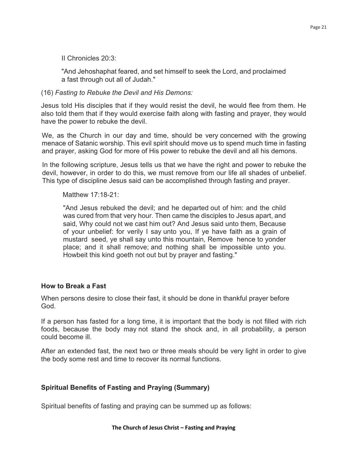II Chronicles 20:3:

"And Jehoshaphat feared, and set himself to seek the Lord, and proclaimed a fast through out all of Judah."

## (16) *Fasting to Rebuke the Devil and His Demons:*

Jesus told His disciples that if they would resist the devil, he would flee from them. He also told them that if they would exercise faith along with fasting and prayer, they would have the power to rebuke the devil.

We, as the Church in our day and time, should be very concerned with the growing menace of Satanic worship. This evil spirit should move us to spend much time in fasting and prayer, asking God for more of His power to rebuke the devil and all his demons.

In the following scripture, Jesus tells us that we have the right and power to rebuke the devil, however, in order to do this, we must remove from our life all shades of unbelief. This type of discipline Jesus said can be accomplished through fasting and prayer.

Matthew 17:18-21:

"And Jesus rebuked the devil; and he departed out of him: and the child was cured from that very hour. Then came the disciples to Jesus apart, and said, Why could not we cast him out? And Jesus said unto them, Because of your unbelief: for verily I say unto you, If ye have faith as a grain of mustard seed, ye shall say unto this mountain, Remove hence to yonder place; and it shall remove; and nothing shall be impossible unto you. Howbeit this kind goeth not out but by prayer and fasting."

## **How to Break a Fast**

When persons desire to close their fast, it should be done in thankful prayer before God.

If a person has fasted for a long time, it is important that the body is not filled with rich foods, because the body may not stand the shock and, in all probability, a person could become ill.

After an extended fast, the next two or three meals should be very light in order to give the body some rest and time to recover its normal functions.

# **Spiritual Benefits of Fasting and Praying (Summary)**

Spiritual benefits of fasting and praying can be summed up as follows: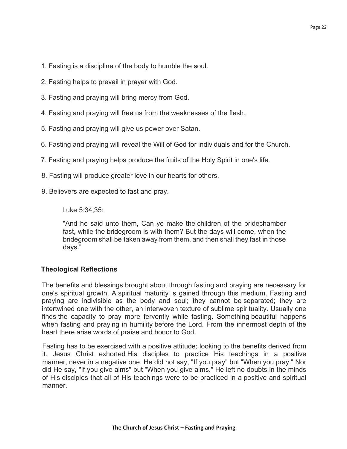- 1. Fasting is a discipline of the body to humble the soul.
- 2. Fasting helps to prevail in prayer with God.
- 3. Fasting and praying will bring mercy from God.
- 4. Fasting and praying will free us from the weaknesses of the flesh.
- 5. Fasting and praying will give us power over Satan.
- 6. Fasting and praying will reveal the Will of God for individuals and for the Church.
- 7. Fasting and praying helps produce the fruits of the Holy Spirit in one's life.
- 8. Fasting will produce greater love in our hearts for others.
- 9. Believers are expected to fast and pray.

Luke 5:34,35:

"And he said unto them, Can ye make the children of the bridechamber fast, while the bridegroom is with them? But the days will come, when the bridegroom shall be taken away from them, and then shall they fast in those days."

## **Theological Reflections**

The benefits and blessings brought about through fasting and praying are necessary for one's spiritual growth. A spiritual maturity is gained through this medium. Fasting and praying are indivisible as the body and soul; they cannot be separated; they are intertwined one with the other, an interwoven texture of sublime spirituality. Usually one finds the capacity to pray more fervently while fasting. Something beautiful happens when fasting and praying in humility before the Lord. From the innermost depth of the heart there arise words of praise and honor to God.

Fasting has to be exercised with a positive attitude; looking to the benefits derived from it. Jesus Christ exhorted His disciples to practice His teachings in a positive manner, never in a negative one. He did not say, "If you pray" but "When you pray." Nor did He say, "If you give alms" but "When you give alms." He left no doubts in the minds of His disciples that all of His teachings were to be practiced in a positive and spiritual manner.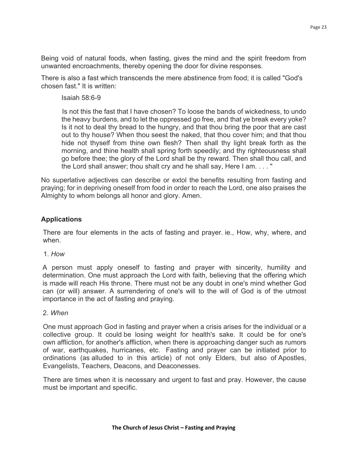Being void of natural foods, when fasting, gives the mind and the spirit freedom from unwanted encroachments, thereby opening the door for divine responses.

There is also a fast which transcends the mere abstinence from food; it is called "God's chosen fast." It is written:

Isaiah 58:6-9

Is not this the fast that I have chosen? To loose the bands of wickedness, to undo the heavy burdens, and to let the oppressed go free, and that ye break every yoke? Is it not to deal thy bread to the hungry, and that thou bring the poor that are cast out to thy house? When thou seest the naked, that thou cover him; and that thou hide not thyself from thine own flesh? Then shall thy light break forth as the morning, and thine health shall spring forth speedily; and thy righteousness shall go before thee; the glory of the Lord shall be thy reward. Then shall thou call, and the Lord shall answer; thou shalt cry and he shall say, Here I am. . . . "

No superlative adjectives can describe or extol the benefits resulting from fasting and praying; for in depriving oneself from food in order to reach the Lord, one also praises the Almighty to whom belongs all honor and glory. Amen.

## **Applications**

There are four elements in the acts of fasting and prayer. ie., How, why, where, and when.

1. *How*

A person must apply oneself to fasting and prayer with sincerity, humility and determination. One must approach the Lord with faith, believing that the offering which is made will reach His throne. There must not be any doubt in one's mind whether God can (or will) answer. A surrendering of one's will to the will of God is of the utmost importance in the act of fasting and praying.

## 2. *When*

One must approach God in fasting and prayer when a crisis arises for the individual or a collective group. It could be losing weight for health's sake. It could be for one's own affliction, for another's affliction, when there is approaching danger such as rumors of war, earthquakes, hurricanes, etc. Fasting and prayer can be initiated prior to ordinations (as alluded to in this article) of not only Elders, but also of Apostles, Evangelists, Teachers, Deacons, and Deaconesses.

There are times when it is necessary and urgent to fast and pray. However, the cause must be important and specific.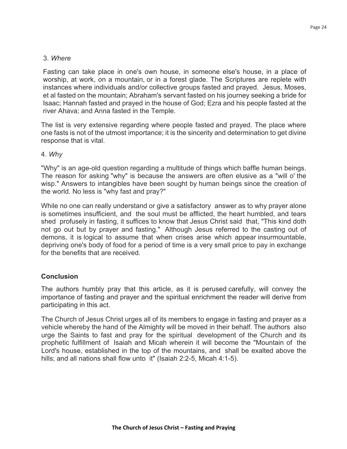## 3. *Where*

Fasting can take place in one's own house, in someone else's house, in a place of worship, at work, on a mountain, or in a forest glade. The Scriptures are replete with instances where individuals and/or collective groups fasted and prayed. Jesus, Moses, et al fasted on the mountain; Abraham's servant fasted on his journey seeking a bride for Isaac; Hannah fasted and prayed in the house of God; Ezra and his people fasted at the river Ahava; and Anna fasted in the Temple.

The list is very extensive regarding where people fasted and prayed. The place where one fasts is not of the utmost importance; it is the sincerity and determination to get divine response that is vital.

#### 4. *Why*

"Why" is an age-old question regarding a multitude of things which baffle human beings. The reason for asking "why" is because the answers are often elusive as a "will o' the wisp." Answers to intangibles have been sought by human beings since the creation of the world. No less is "why fast and pray?"

While no one can really understand or give a satisfactory answer as to why prayer alone is sometimes insufficient, and the soul must be afflicted, the heart humbled, and tears shed profusely in fasting, it suffices to know that Jesus Christ said that, "This kind doth not go out but by prayer and fasting." Although Jesus referred to the casting out of demons, it is logical to assume that when crises arise which appear insurmountable, depriving one's body of food for a period of time is a very small price to pay in exchange for the benefits that are received.

## **Conclusion**

The authors humbly pray that this article, as it is perused carefully, will convey the importance of fasting and prayer and the spiritual enrichment the reader will derive from participating in this act.

The Church of Jesus Christ urges all of its members to engage in fasting and prayer as a vehicle whereby the hand of the Almighty will be moved in their behalf. The authors also urge the Saints to fast and pray for the spiritual development of the Church and its prophetic fulfillment of Isaiah and Micah wherein it will become the "Mountain of the Lord's house, established in the top of the mountains, and shall be exalted above the hills; and all nations shall flow unto it" (Isaiah 2:2-5, Micah 4:1-5).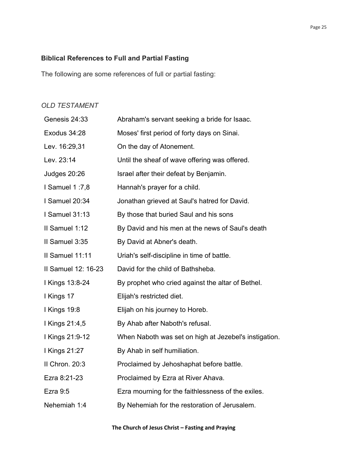# **Biblical References to Full and Partial Fasting**

The following are some references of full or partial fasting:

## *OLD TESTAMENT*

| Genesis 24:33         | Abraham's servant seeking a bride for Isaac.          |
|-----------------------|-------------------------------------------------------|
| Exodus 34:28          | Moses' first period of forty days on Sinai.           |
| Lev. 16:29,31         | On the day of Atonement.                              |
| Lev. 23:14            | Until the sheaf of wave offering was offered.         |
| <b>Judges 20:26</b>   | Israel after their defeat by Benjamin.                |
| <b>I Samuel 1:7,8</b> | Hannah's prayer for a child.                          |
| I Samuel 20:34        | Jonathan grieved at Saul's hatred for David.          |
| <b>I</b> Samuel 31:13 | By those that buried Saul and his sons                |
| Il Samuel 1:12        | By David and his men at the news of Saul's death      |
| II Samuel 3:35        | By David at Abner's death.                            |
| Il Samuel 11:11       | Uriah's self-discipline in time of battle.            |
| II Samuel 12: 16-23   | David for the child of Bathsheba.                     |
| I Kings 13:8-24       | By prophet who cried against the altar of Bethel.     |
| I Kings 17            | Elijah's restricted diet.                             |
| <b>I Kings 19:8</b>   | Elijah on his journey to Horeb.                       |
| I Kings 21:4,5        | By Ahab after Naboth's refusal.                       |
| I Kings 21:9-12       | When Naboth was set on high at Jezebel's instigation. |
| I Kings 21:27         | By Ahab in self humiliation.                          |
| II Chron. 20:3        | Proclaimed by Jehoshaphat before battle.              |
| Ezra 8:21-23          | Proclaimed by Ezra at River Ahava.                    |
| Ezra $9:5$            | Ezra mourning for the faithlessness of the exiles.    |
| Nehemiah 1:4          | By Nehemiah for the restoration of Jerusalem.         |
|                       |                                                       |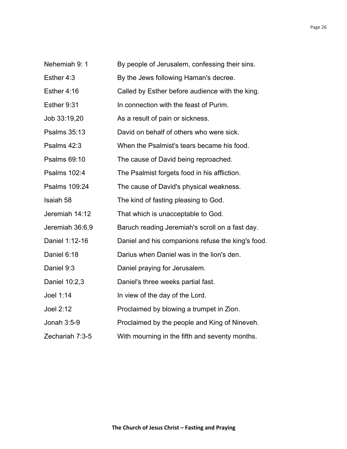- Nehemiah 9: 1 By people of Jerusalem, confessing their sins.
- Esther 4:3 By the Jews following Haman's decree.
- Esther 4:16 Called by Esther before audience with the king.
- Esther 9:31 In connection with the feast of Purim.
- Job 33:19,20 As a result of pain or sickness.
- Psalms 35:13 David on behalf of others who were sick.
- Psalms 42:3 When the Psalmist's tears became his food.
- Psalms 69:10 The cause of David being reproached.
- Psalms 102:4 The Psalmist forgets food in his affliction.
- Psalms 109:24 The cause of David's physical weakness.
- Isaiah 58 The kind of fasting pleasing to God.
- Jeremiah 14:12 That which is unacceptable to God.
- Jeremiah 36:6,9 Baruch reading Jeremiah's scroll on a fast day.
- Daniel 1:12-16 Daniel and his companions refuse the king's food.
- Daniel 6:18 Darius when Daniel was in the lion's den.
- Daniel 9:3 Daniel praying for Jerusalem.
- Daniel 10:2,3 Daniel's three weeks partial fast.
- Joel 1:14 In view of the day of the Lord.
- Joel 2:12 Proclaimed by blowing a trumpet in Zion.
- Jonah 3:5-9 Proclaimed by the people and King of Nineveh.
- Zechariah 7:3-5 With mourning in the fifth and seventy months.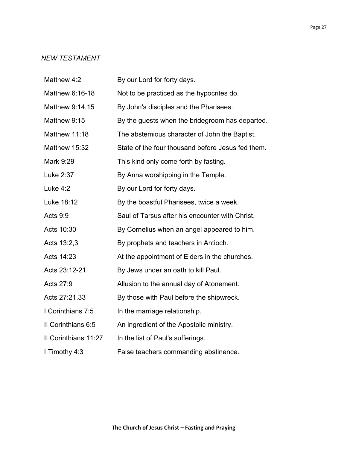# *NEW TESTAMENT*

| Matthew 4:2          | By our Lord for forty days.                       |
|----------------------|---------------------------------------------------|
| Matthew 6:16-18      | Not to be practiced as the hypocrites do.         |
| Matthew 9:14,15      | By John's disciples and the Pharisees.            |
| Matthew 9:15         | By the guests when the bridegroom has departed.   |
| Matthew 11:18        | The abstemious character of John the Baptist.     |
| Matthew 15:32        | State of the four thousand before Jesus fed them. |
| Mark 9:29            | This kind only come forth by fasting.             |
| Luke 2:37            | By Anna worshipping in the Temple.                |
| Luke 4:2             | By our Lord for forty days.                       |
| Luke 18:12           | By the boastful Pharisees, twice a week.          |
| Acts 9:9             | Saul of Tarsus after his encounter with Christ.   |
| Acts 10:30           | By Cornelius when an angel appeared to him.       |
| Acts 13:2,3          | By prophets and teachers in Antioch.              |
| Acts 14:23           | At the appointment of Elders in the churches.     |
| Acts 23:12-21        | By Jews under an oath to kill Paul.               |
| Acts 27:9            | Allusion to the annual day of Atonement.          |
| Acts 27:21,33        | By those with Paul before the shipwreck.          |
| I Corinthians 7:5    | In the marriage relationship.                     |
| II Corinthians 6:5   | An ingredient of the Apostolic ministry.          |
| Il Corinthians 11:27 | In the list of Paul's sufferings.                 |
| I Timothy 4:3        | False teachers commanding abstinence.             |